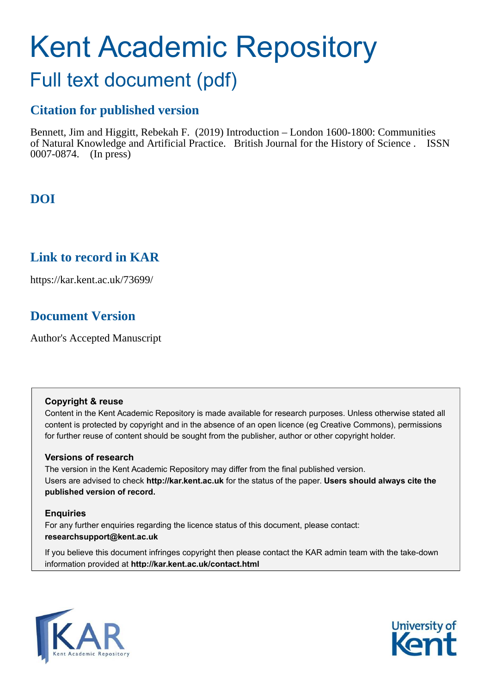# Kent Academic Repository

## Full text document (pdf)

## **Citation for published version**

Bennett, Jim and Higgitt, Rebekah F. (2019) Introduction – London 1600-1800: Communities of Natural Knowledge and Artificial Practice. British Journal for the History of Science . ISSN 0007-0874. (In press)

## **DOI**

## **Link to record in KAR**

https://kar.kent.ac.uk/73699/

## **Document Version**

Author's Accepted Manuscript

#### **Copyright & reuse**

Content in the Kent Academic Repository is made available for research purposes. Unless otherwise stated all content is protected by copyright and in the absence of an open licence (eg Creative Commons), permissions for further reuse of content should be sought from the publisher, author or other copyright holder.

#### **Versions of research**

The version in the Kent Academic Repository may differ from the final published version. Users are advised to check **http://kar.kent.ac.uk** for the status of the paper. **Users should always cite the published version of record.**

#### **Enquiries**

For any further enquiries regarding the licence status of this document, please contact: **researchsupport@kent.ac.uk**

If you believe this document infringes copyright then please contact the KAR admin team with the take-down information provided at **http://kar.kent.ac.uk/contact.html**



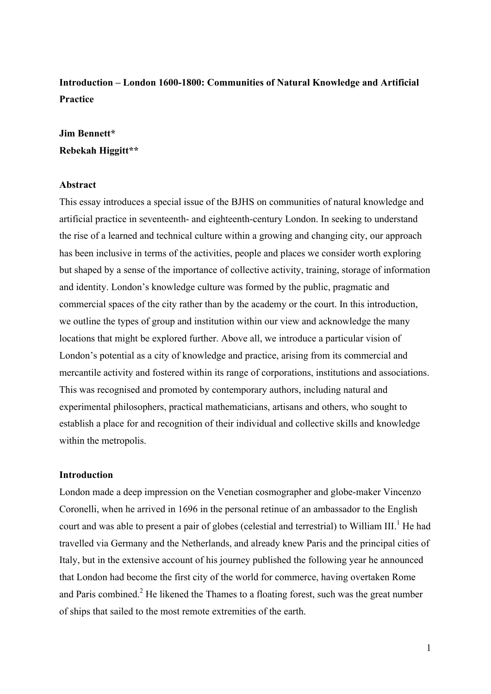## **Introduction – London 1600-1800: Communities of Natural Knowledge and Artificial Practice**

### **Jim Bennett\* Rebekah Higgitt\*\***

#### **Abstract**

This essay introduces a special issue of the BJHS on communities of natural knowledge and artificial practice in seventeenth- and eighteenth-century London. In seeking to understand the rise of a learned and technical culture within a growing and changing city, our approach has been inclusive in terms of the activities, people and places we consider worth exploring but shaped by a sense of the importance of collective activity, training, storage of information and identity. London's knowledge culture was formed by the public, pragmatic and commercial spaces of the city rather than by the academy or the court. In this introduction, we outline the types of group and institution within our view and acknowledge the many locations that might be explored further. Above all, we introduce a particular vision of London's potential as a city of knowledge and practice, arising from its commercial and mercantile activity and fostered within its range of corporations, institutions and associations. This was recognised and promoted by contemporary authors, including natural and experimental philosophers, practical mathematicians, artisans and others, who sought to establish a place for and recognition of their individual and collective skills and knowledge within the metropolis.

#### **Introduction**

London made a deep impression on the Venetian cosmographer and globe-maker Vincenzo Coronelli, when he arrived in 1696 in the personal retinue of an ambassador to the English court and was able to present a pair of globes (celestial and terrestrial) to William III.<sup>1</sup> He had travelled via Germany and the Netherlands, and already knew Paris and the principal cities of Italy, but in the extensive account of his journey published the following year he announced that London had become the first city of the world for commerce, having overtaken Rome and Paris combined.<sup>2</sup> He likened the Thames to a floating forest, such was the great number of ships that sailed to the most remote extremities of the earth.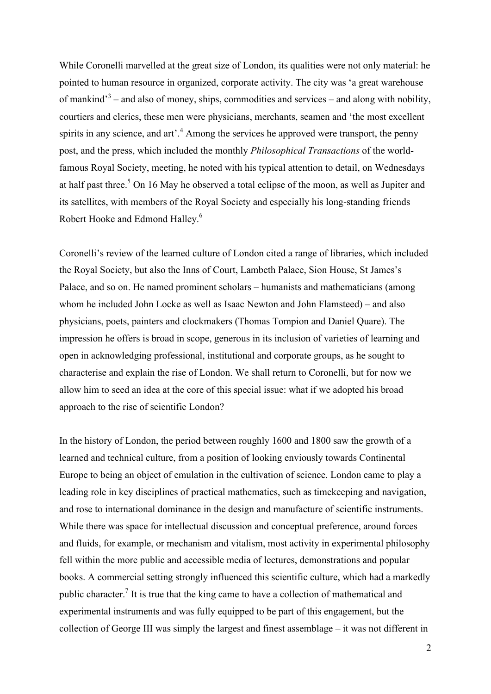While Coronelli marvelled at the great size of London, its qualities were not only material: he pointed to human resource in organized, corporate activity. The city was 'a great warehouse of mankind<sup>3</sup> – and also of money, ships, commodities and services – and along with nobility, courtiers and clerics, these men were physicians, merchants, seamen and 'the most excellent spirits in any science, and art'.<sup>4</sup> Among the services he approved were transport, the penny post, and the press, which included the monthly *Philosophical Transactions* of the worldfamous Royal Society, meeting, he noted with his typical attention to detail, on Wednesdays at half past three.<sup>5</sup> On 16 May he observed a total eclipse of the moon, as well as Jupiter and its satellites, with members of the Royal Society and especially his long-standing friends Robert Hooke and Edmond Halley.<sup>6</sup>

Coronelli's review of the learned culture of London cited a range of libraries, which included the Royal Society, but also the Inns of Court, Lambeth Palace, Sion House, St James's Palace, and so on. He named prominent scholars – humanists and mathematicians (among whom he included John Locke as well as Isaac Newton and John Flamsteed) – and also physicians, poets, painters and clockmakers (Thomas Tompion and Daniel Quare). The impression he offers is broad in scope, generous in its inclusion of varieties of learning and open in acknowledging professional, institutional and corporate groups, as he sought to characterise and explain the rise of London. We shall return to Coronelli, but for now we allow him to seed an idea at the core of this special issue: what if we adopted his broad approach to the rise of scientific London?

In the history of London, the period between roughly 1600 and 1800 saw the growth of a learned and technical culture, from a position of looking enviously towards Continental Europe to being an object of emulation in the cultivation of science. London came to play a leading role in key disciplines of practical mathematics, such as timekeeping and navigation, and rose to international dominance in the design and manufacture of scientific instruments. While there was space for intellectual discussion and conceptual preference, around forces and fluids, for example, or mechanism and vitalism, most activity in experimental philosophy fell within the more public and accessible media of lectures, demonstrations and popular books. A commercial setting strongly influenced this scientific culture, which had a markedly public character.<sup>7</sup> It is true that the king came to have a collection of mathematical and experimental instruments and was fully equipped to be part of this engagement, but the collection of George III was simply the largest and finest assemblage – it was not different in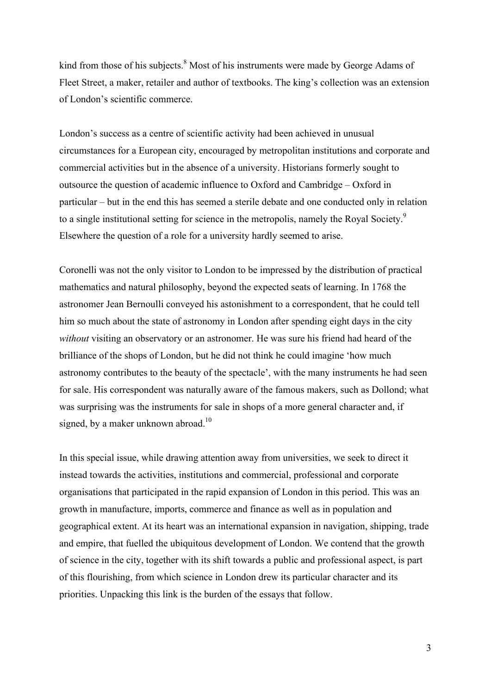kind from those of his subjects.<sup>8</sup> Most of his instruments were made by George Adams of Fleet Street, a maker, retailer and author of textbooks. The king's collection was an extension of London's scientific commerce.

London's success as a centre of scientific activity had been achieved in unusual circumstances for a European city, encouraged by metropolitan institutions and corporate and commercial activities but in the absence of a university. Historians formerly sought to outsource the question of academic influence to Oxford and Cambridge – Oxford in particular – but in the end this has seemed a sterile debate and one conducted only in relation to a single institutional setting for science in the metropolis, namely the Royal Society.<sup>9</sup> Elsewhere the question of a role for a university hardly seemed to arise.

Coronelli was not the only visitor to London to be impressed by the distribution of practical mathematics and natural philosophy, beyond the expected seats of learning. In 1768 the astronomer Jean Bernoulli conveyed his astonishment to a correspondent, that he could tell him so much about the state of astronomy in London after spending eight days in the city *without* visiting an observatory or an astronomer. He was sure his friend had heard of the brilliance of the shops of London, but he did not think he could imagine 'how much astronomy contributes to the beauty of the spectacle', with the many instruments he had seen for sale. His correspondent was naturally aware of the famous makers, such as Dollond; what was surprising was the instruments for sale in shops of a more general character and, if signed, by a maker unknown abroad.<sup>10</sup>

In this special issue, while drawing attention away from universities, we seek to direct it instead towards the activities, institutions and commercial, professional and corporate organisations that participated in the rapid expansion of London in this period. This was an growth in manufacture, imports, commerce and finance as well as in population and geographical extent. At its heart was an international expansion in navigation, shipping, trade and empire, that fuelled the ubiquitous development of London. We contend that the growth of science in the city, together with its shift towards a public and professional aspect, is part of this flourishing, from which science in London drew its particular character and its priorities. Unpacking this link is the burden of the essays that follow.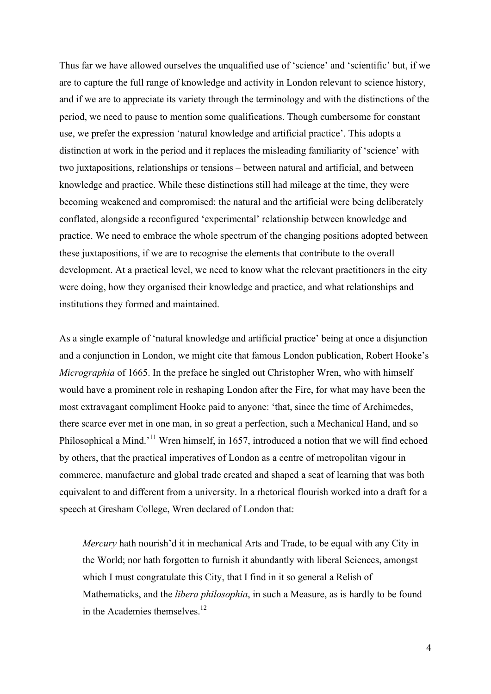Thus far we have allowed ourselves the unqualified use of 'science' and 'scientific' but, if we are to capture the full range of knowledge and activity in London relevant to science history, and if we are to appreciate its variety through the terminology and with the distinctions of the period, we need to pause to mention some qualifications. Though cumbersome for constant use, we prefer the expression 'natural knowledge and artificial practice'. This adopts a distinction at work in the period and it replaces the misleading familiarity of 'science' with two juxtapositions, relationships or tensions – between natural and artificial, and between knowledge and practice. While these distinctions still had mileage at the time, they were becoming weakened and compromised: the natural and the artificial were being deliberately conflated, alongside a reconfigured 'experimental' relationship between knowledge and practice. We need to embrace the whole spectrum of the changing positions adopted between these juxtapositions, if we are to recognise the elements that contribute to the overall development. At a practical level, we need to know what the relevant practitioners in the city were doing, how they organised their knowledge and practice, and what relationships and institutions they formed and maintained.

As a single example of 'natural knowledge and artificial practice' being at once a disjunction and a conjunction in London, we might cite that famous London publication, Robert Hooke's *Micrographia* of 1665. In the preface he singled out Christopher Wren, who with himself would have a prominent role in reshaping London after the Fire, for what may have been the most extravagant compliment Hooke paid to anyone: 'that, since the time of Archimedes, there scarce ever met in one man, in so great a perfection, such a Mechanical Hand, and so Philosophical a Mind.<sup>'11</sup> Wren himself, in 1657, introduced a notion that we will find echoed by others, that the practical imperatives of London as a centre of metropolitan vigour in commerce, manufacture and global trade created and shaped a seat of learning that was both equivalent to and different from a university. In a rhetorical flourish worked into a draft for a speech at Gresham College, Wren declared of London that:

*Mercury* hath nourish'd it in mechanical Arts and Trade, to be equal with any City in the World; nor hath forgotten to furnish it abundantly with liberal Sciences, amongst which I must congratulate this City, that I find in it so general a Relish of Mathematicks, and the *libera philosophia*, in such a Measure, as is hardly to be found in the Academies themselves.<sup>12</sup>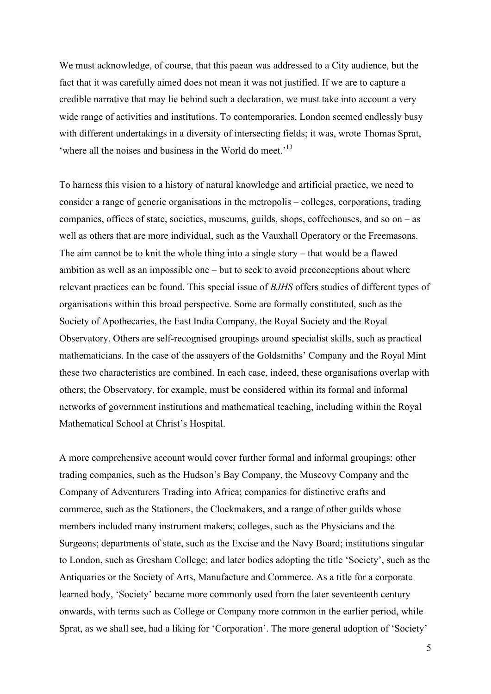We must acknowledge, of course, that this paean was addressed to a City audience, but the fact that it was carefully aimed does not mean it was not justified. If we are to capture a credible narrative that may lie behind such a declaration, we must take into account a very wide range of activities and institutions. To contemporaries, London seemed endlessly busy with different undertakings in a diversity of intersecting fields; it was, wrote Thomas Sprat, 'where all the noises and business in the World do meet.<sup>'13</sup>

To harness this vision to a history of natural knowledge and artificial practice, we need to consider a range of generic organisations in the metropolis – colleges, corporations, trading companies, offices of state, societies, museums, guilds, shops, coffeehouses, and so on – as well as others that are more individual, such as the Vauxhall Operatory or the Freemasons. The aim cannot be to knit the whole thing into a single story – that would be a flawed ambition as well as an impossible one – but to seek to avoid preconceptions about where relevant practices can be found. This special issue of *BJHS* offers studies of different types of organisations within this broad perspective. Some are formally constituted, such as the Society of Apothecaries, the East India Company, the Royal Society and the Royal Observatory. Others are self-recognised groupings around specialist skills, such as practical mathematicians. In the case of the assayers of the Goldsmiths' Company and the Royal Mint these two characteristics are combined. In each case, indeed, these organisations overlap with others; the Observatory, for example, must be considered within its formal and informal networks of government institutions and mathematical teaching, including within the Royal Mathematical School at Christ's Hospital.

A more comprehensive account would cover further formal and informal groupings: other trading companies, such as the Hudson's Bay Company, the Muscovy Company and the Company of Adventurers Trading into Africa; companies for distinctive crafts and commerce, such as the Stationers, the Clockmakers, and a range of other guilds whose members included many instrument makers; colleges, such as the Physicians and the Surgeons; departments of state, such as the Excise and the Navy Board; institutions singular to London, such as Gresham College; and later bodies adopting the title 'Society', such as the Antiquaries or the Society of Arts, Manufacture and Commerce. As a title for a corporate learned body, 'Society' became more commonly used from the later seventeenth century onwards, with terms such as College or Company more common in the earlier period, while Sprat, as we shall see, had a liking for 'Corporation'. The more general adoption of 'Society'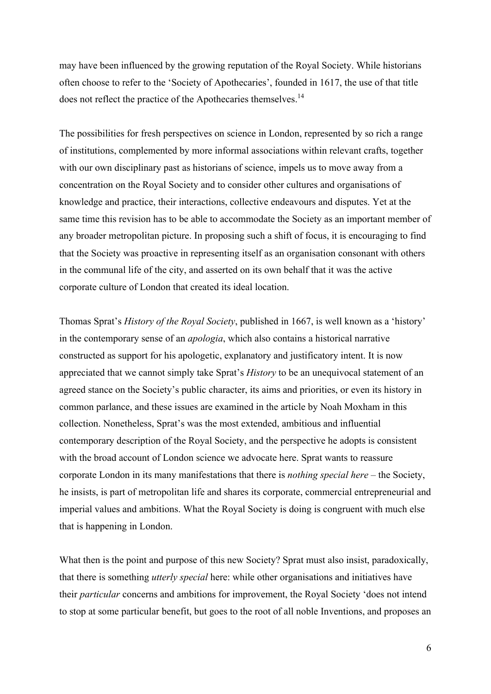may have been influenced by the growing reputation of the Royal Society. While historians often choose to refer to the 'Society of Apothecaries', founded in 1617, the use of that title does not reflect the practice of the Apothecaries themselves.<sup>14</sup>

The possibilities for fresh perspectives on science in London, represented by so rich a range of institutions, complemented by more informal associations within relevant crafts, together with our own disciplinary past as historians of science, impels us to move away from a concentration on the Royal Society and to consider other cultures and organisations of knowledge and practice, their interactions, collective endeavours and disputes. Yet at the same time this revision has to be able to accommodate the Society as an important member of any broader metropolitan picture. In proposing such a shift of focus, it is encouraging to find that the Society was proactive in representing itself as an organisation consonant with others in the communal life of the city, and asserted on its own behalf that it was the active corporate culture of London that created its ideal location.

Thomas Sprat's *History of the Royal Society*, published in 1667, is well known as a 'history' in the contemporary sense of an *apologia*, which also contains a historical narrative constructed as support for his apologetic, explanatory and justificatory intent. It is now appreciated that we cannot simply take Sprat's *History* to be an unequivocal statement of an agreed stance on the Society's public character, its aims and priorities, or even its history in common parlance, and these issues are examined in the article by Noah Moxham in this collection. Nonetheless, Sprat's was the most extended, ambitious and influential contemporary description of the Royal Society, and the perspective he adopts is consistent with the broad account of London science we advocate here. Sprat wants to reassure corporate London in its many manifestations that there is *nothing special here* – the Society, he insists, is part of metropolitan life and shares its corporate, commercial entrepreneurial and imperial values and ambitions. What the Royal Society is doing is congruent with much else that is happening in London.

What then is the point and purpose of this new Society? Sprat must also insist, paradoxically, that there is something *utterly special* here: while other organisations and initiatives have their *particular* concerns and ambitions for improvement, the Royal Society 'does not intend to stop at some particular benefit, but goes to the root of all noble Inventions, and proposes an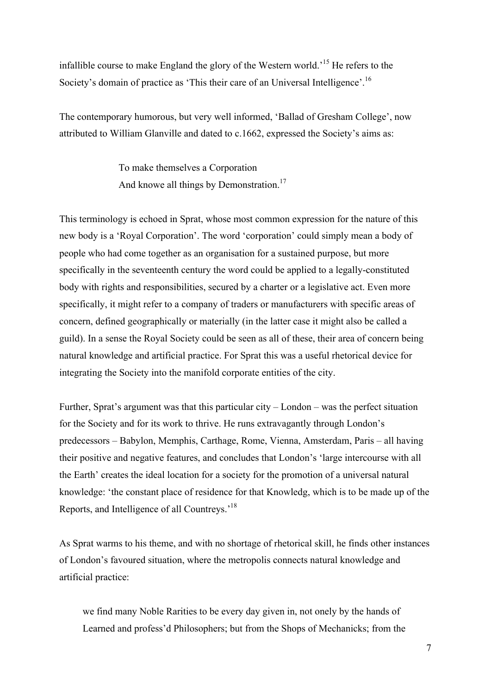infallible course to make England the glory of the Western world.<sup>15</sup> He refers to the Society's domain of practice as 'This their care of an Universal Intelligence'.<sup>16</sup>

The contemporary humorous, but very well informed, 'Ballad of Gresham College', now attributed to William Glanville and dated to c.1662, expressed the Society's aims as:

> To make themselves a Corporation And knowe all things by Demonstration.<sup>17</sup>

This terminology is echoed in Sprat, whose most common expression for the nature of this new body is a 'Royal Corporation'. The word 'corporation' could simply mean a body of people who had come together as an organisation for a sustained purpose, but more specifically in the seventeenth century the word could be applied to a legally-constituted body with rights and responsibilities, secured by a charter or a legislative act. Even more specifically, it might refer to a company of traders or manufacturers with specific areas of concern, defined geographically or materially (in the latter case it might also be called a guild). In a sense the Royal Society could be seen as all of these, their area of concern being natural knowledge and artificial practice. For Sprat this was a useful rhetorical device for integrating the Society into the manifold corporate entities of the city.

Further, Sprat's argument was that this particular city – London – was the perfect situation for the Society and for its work to thrive. He runs extravagantly through London's predecessors – Babylon, Memphis, Carthage, Rome, Vienna, Amsterdam, Paris – all having their positive and negative features, and concludes that London's 'large intercourse with all the Earth' creates the ideal location for a society for the promotion of a universal natural knowledge: 'the constant place of residence for that Knowledg, which is to be made up of the Reports, and Intelligence of all Countreys.'<sup>18</sup>

As Sprat warms to his theme, and with no shortage of rhetorical skill, he finds other instances of London's favoured situation, where the metropolis connects natural knowledge and artificial practice:

we find many Noble Rarities to be every day given in, not onely by the hands of Learned and profess'd Philosophers; but from the Shops of Mechanicks; from the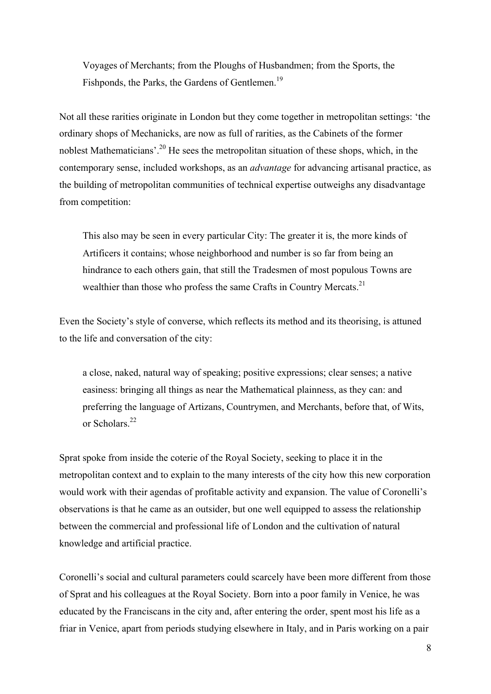Voyages of Merchants; from the Ploughs of Husbandmen; from the Sports, the Fishponds, the Parks, the Gardens of Gentlemen.<sup>19</sup>

Not all these rarities originate in London but they come together in metropolitan settings: 'the ordinary shops of Mechanicks, are now as full of rarities, as the Cabinets of the former noblest Mathematicians'.<sup>20</sup> He sees the metropolitan situation of these shops, which, in the contemporary sense, included workshops, as an *advantage* for advancing artisanal practice, as the building of metropolitan communities of technical expertise outweighs any disadvantage from competition:

This also may be seen in every particular City: The greater it is, the more kinds of Artificers it contains; whose neighborhood and number is so far from being an hindrance to each others gain, that still the Tradesmen of most populous Towns are wealthier than those who profess the same Crafts in Country Mercats.<sup>21</sup>

Even the Society's style of converse, which reflects its method and its theorising, is attuned to the life and conversation of the city:

a close, naked, natural way of speaking; positive expressions; clear senses; a native easiness: bringing all things as near the Mathematical plainness, as they can: and preferring the language of Artizans, Countrymen, and Merchants, before that, of Wits, or Scholars<sup>22</sup>

Sprat spoke from inside the coterie of the Royal Society, seeking to place it in the metropolitan context and to explain to the many interests of the city how this new corporation would work with their agendas of profitable activity and expansion. The value of Coronelli's observations is that he came as an outsider, but one well equipped to assess the relationship between the commercial and professional life of London and the cultivation of natural knowledge and artificial practice.

Coronelli's social and cultural parameters could scarcely have been more different from those of Sprat and his colleagues at the Royal Society. Born into a poor family in Venice, he was educated by the Franciscans in the city and, after entering the order, spent most his life as a friar in Venice, apart from periods studying elsewhere in Italy, and in Paris working on a pair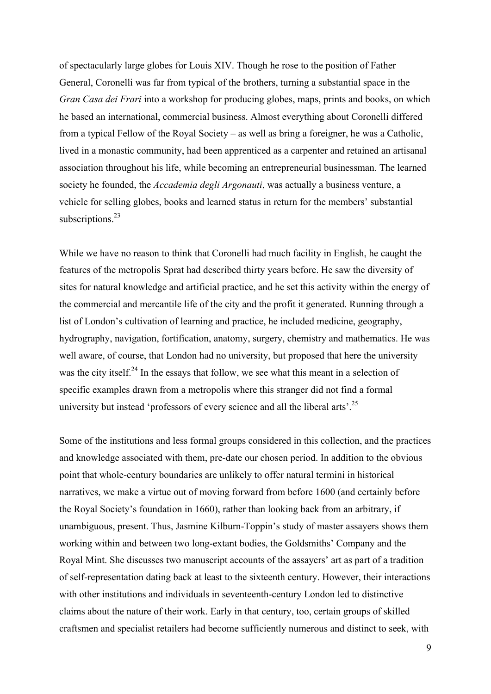of spectacularly large globes for Louis XIV. Though he rose to the position of Father General, Coronelli was far from typical of the brothers, turning a substantial space in the *Gran Casa dei Frari* into a workshop for producing globes, maps, prints and books, on which he based an international, commercial business. Almost everything about Coronelli differed from a typical Fellow of the Royal Society – as well as bring a foreigner, he was a Catholic, lived in a monastic community, had been apprenticed as a carpenter and retained an artisanal association throughout his life, while becoming an entrepreneurial businessman. The learned society he founded, the *Accademia degli Argonauti*, was actually a business venture, a vehicle for selling globes, books and learned status in return for the members' substantial subscriptions.<sup>23</sup>

While we have no reason to think that Coronelli had much facility in English, he caught the features of the metropolis Sprat had described thirty years before. He saw the diversity of sites for natural knowledge and artificial practice, and he set this activity within the energy of the commercial and mercantile life of the city and the profit it generated. Running through a list of London's cultivation of learning and practice, he included medicine, geography, hydrography, navigation, fortification, anatomy, surgery, chemistry and mathematics. He was well aware, of course, that London had no university, but proposed that here the university was the city itself.<sup>24</sup> In the essays that follow, we see what this meant in a selection of specific examples drawn from a metropolis where this stranger did not find a formal university but instead 'professors of every science and all the liberal arts'.<sup>25</sup>

Some of the institutions and less formal groups considered in this collection, and the practices and knowledge associated with them, pre-date our chosen period. In addition to the obvious point that whole-century boundaries are unlikely to offer natural termini in historical narratives, we make a virtue out of moving forward from before 1600 (and certainly before the Royal Society's foundation in 1660), rather than looking back from an arbitrary, if unambiguous, present. Thus, Jasmine Kilburn-Toppin's study of master assayers shows them working within and between two long-extant bodies, the Goldsmiths' Company and the Royal Mint. She discusses two manuscript accounts of the assayers' art as part of a tradition of self-representation dating back at least to the sixteenth century. However, their interactions with other institutions and individuals in seventeenth-century London led to distinctive claims about the nature of their work. Early in that century, too, certain groups of skilled craftsmen and specialist retailers had become sufficiently numerous and distinct to seek, with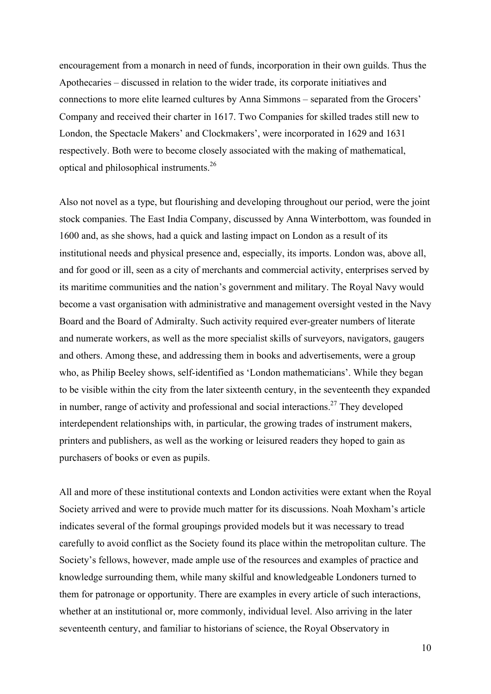encouragement from a monarch in need of funds, incorporation in their own guilds. Thus the Apothecaries – discussed in relation to the wider trade, its corporate initiatives and connections to more elite learned cultures by Anna Simmons – separated from the Grocers' Company and received their charter in 1617. Two Companies for skilled trades still new to London, the Spectacle Makers' and Clockmakers', were incorporated in 1629 and 1631 respectively. Both were to become closely associated with the making of mathematical, optical and philosophical instruments.<sup>26</sup>

Also not novel as a type, but flourishing and developing throughout our period, were the joint stock companies. The East India Company, discussed by Anna Winterbottom, was founded in 1600 and, as she shows, had a quick and lasting impact on London as a result of its institutional needs and physical presence and, especially, its imports. London was, above all, and for good or ill, seen as a city of merchants and commercial activity, enterprises served by its maritime communities and the nation's government and military. The Royal Navy would become a vast organisation with administrative and management oversight vested in the Navy Board and the Board of Admiralty. Such activity required ever-greater numbers of literate and numerate workers, as well as the more specialist skills of surveyors, navigators, gaugers and others. Among these, and addressing them in books and advertisements, were a group who, as Philip Beeley shows, self-identified as 'London mathematicians'. While they began to be visible within the city from the later sixteenth century, in the seventeenth they expanded in number, range of activity and professional and social interactions.<sup>27</sup> They developed interdependent relationships with, in particular, the growing trades of instrument makers, printers and publishers, as well as the working or leisured readers they hoped to gain as purchasers of books or even as pupils.

All and more of these institutional contexts and London activities were extant when the Royal Society arrived and were to provide much matter for its discussions. Noah Moxham's article indicates several of the formal groupings provided models but it was necessary to tread carefully to avoid conflict as the Society found its place within the metropolitan culture. The Society's fellows, however, made ample use of the resources and examples of practice and knowledge surrounding them, while many skilful and knowledgeable Londoners turned to them for patronage or opportunity. There are examples in every article of such interactions, whether at an institutional or, more commonly, individual level. Also arriving in the later seventeenth century, and familiar to historians of science, the Royal Observatory in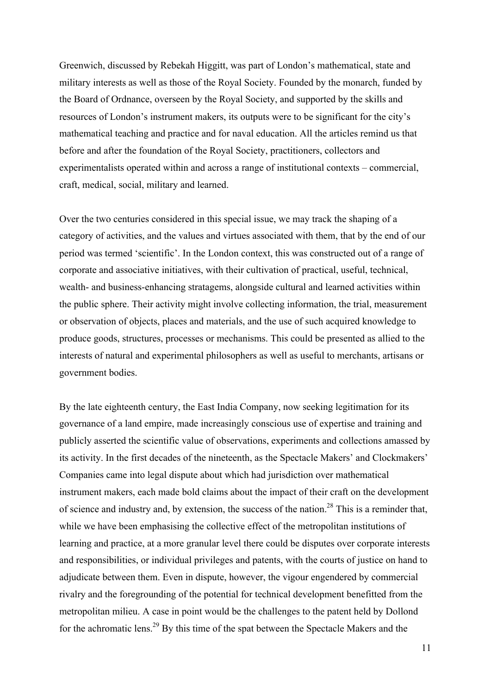Greenwich, discussed by Rebekah Higgitt, was part of London's mathematical, state and military interests as well as those of the Royal Society. Founded by the monarch, funded by the Board of Ordnance, overseen by the Royal Society, and supported by the skills and resources of London's instrument makers, its outputs were to be significant for the city's mathematical teaching and practice and for naval education. All the articles remind us that before and after the foundation of the Royal Society, practitioners, collectors and experimentalists operated within and across a range of institutional contexts – commercial, craft, medical, social, military and learned.

Over the two centuries considered in this special issue, we may track the shaping of a category of activities, and the values and virtues associated with them, that by the end of our period was termed 'scientific'. In the London context, this was constructed out of a range of corporate and associative initiatives, with their cultivation of practical, useful, technical, wealth- and business-enhancing stratagems, alongside cultural and learned activities within the public sphere. Their activity might involve collecting information, the trial, measurement or observation of objects, places and materials, and the use of such acquired knowledge to produce goods, structures, processes or mechanisms. This could be presented as allied to the interests of natural and experimental philosophers as well as useful to merchants, artisans or government bodies.

By the late eighteenth century, the East India Company, now seeking legitimation for its governance of a land empire, made increasingly conscious use of expertise and training and publicly asserted the scientific value of observations, experiments and collections amassed by its activity. In the first decades of the nineteenth, as the Spectacle Makers' and Clockmakers' Companies came into legal dispute about which had jurisdiction over mathematical instrument makers, each made bold claims about the impact of their craft on the development of science and industry and, by extension, the success of the nation.<sup>28</sup> This is a reminder that, while we have been emphasising the collective effect of the metropolitan institutions of learning and practice, at a more granular level there could be disputes over corporate interests and responsibilities, or individual privileges and patents, with the courts of justice on hand to adjudicate between them. Even in dispute, however, the vigour engendered by commercial rivalry and the foregrounding of the potential for technical development benefitted from the metropolitan milieu. A case in point would be the challenges to the patent held by Dollond for the achromatic lens.<sup>29</sup> By this time of the spat between the Spectacle Makers and the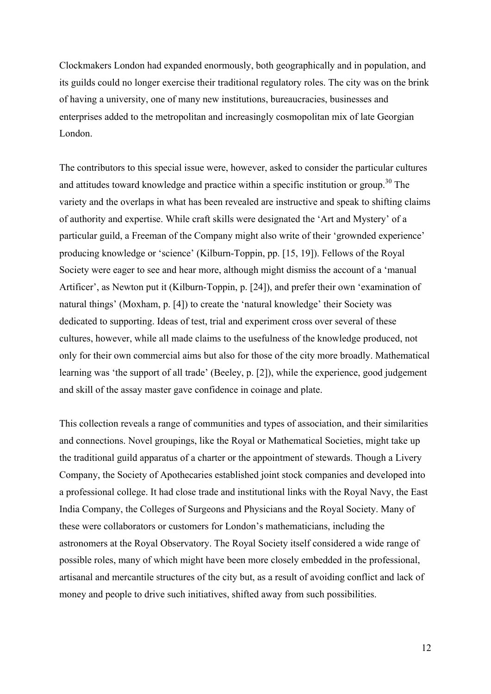Clockmakers London had expanded enormously, both geographically and in population, and its guilds could no longer exercise their traditional regulatory roles. The city was on the brink of having a university, one of many new institutions, bureaucracies, businesses and enterprises added to the metropolitan and increasingly cosmopolitan mix of late Georgian London.

The contributors to this special issue were, however, asked to consider the particular cultures and attitudes toward knowledge and practice within a specific institution or group.<sup>30</sup> The variety and the overlaps in what has been revealed are instructive and speak to shifting claims of authority and expertise. While craft skills were designated the 'Art and Mystery' of a particular guild, a Freeman of the Company might also write of their 'grownded experience' producing knowledge or 'science' (Kilburn-Toppin, pp. [15, 19]). Fellows of the Royal Society were eager to see and hear more, although might dismiss the account of a 'manual Artificer', as Newton put it (Kilburn-Toppin, p. [24]), and prefer their own 'examination of natural things' (Moxham, p. [4]) to create the 'natural knowledge' their Society was dedicated to supporting. Ideas of test, trial and experiment cross over several of these cultures, however, while all made claims to the usefulness of the knowledge produced, not only for their own commercial aims but also for those of the city more broadly. Mathematical learning was 'the support of all trade' (Beeley, p. [2]), while the experience, good judgement and skill of the assay master gave confidence in coinage and plate.

This collection reveals a range of communities and types of association, and their similarities and connections. Novel groupings, like the Royal or Mathematical Societies, might take up the traditional guild apparatus of a charter or the appointment of stewards. Though a Livery Company, the Society of Apothecaries established joint stock companies and developed into a professional college. It had close trade and institutional links with the Royal Navy, the East India Company, the Colleges of Surgeons and Physicians and the Royal Society. Many of these were collaborators or customers for London's mathematicians, including the astronomers at the Royal Observatory. The Royal Society itself considered a wide range of possible roles, many of which might have been more closely embedded in the professional, artisanal and mercantile structures of the city but, as a result of avoiding conflict and lack of money and people to drive such initiatives, shifted away from such possibilities.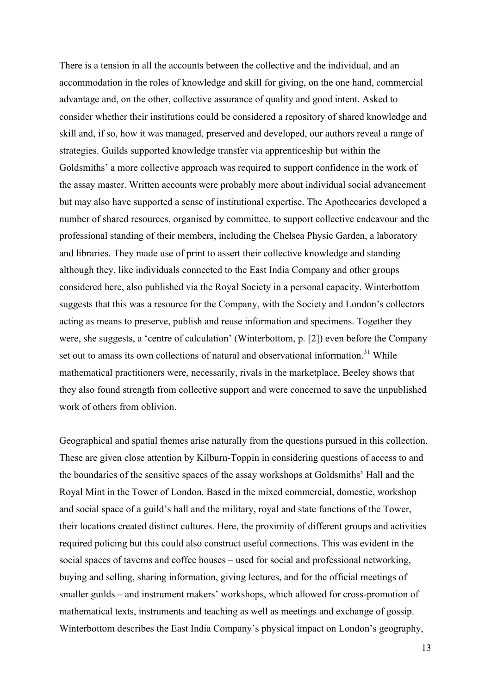There is a tension in all the accounts between the collective and the individual, and an accommodation in the roles of knowledge and skill for giving, on the one hand, commercial advantage and, on the other, collective assurance of quality and good intent. Asked to consider whether their institutions could be considered a repository of shared knowledge and skill and, if so, how it was managed, preserved and developed, our authors reveal a range of strategies. Guilds supported knowledge transfer via apprenticeship but within the Goldsmiths' a more collective approach was required to support confidence in the work of the assay master. Written accounts were probably more about individual social advancement but may also have supported a sense of institutional expertise. The Apothecaries developed a number of shared resources, organised by committee, to support collective endeavour and the professional standing of their members, including the Chelsea Physic Garden, a laboratory and libraries. They made use of print to assert their collective knowledge and standing although they, like individuals connected to the East India Company and other groups considered here, also published via the Royal Society in a personal capacity. Winterbottom suggests that this was a resource for the Company, with the Society and London's collectors acting as means to preserve, publish and reuse information and specimens. Together they were, she suggests, a 'centre of calculation' (Winterbottom, p. [2]) even before the Company set out to amass its own collections of natural and observational information.<sup>31</sup> While mathematical practitioners were, necessarily, rivals in the marketplace, Beeley shows that they also found strength from collective support and were concerned to save the unpublished work of others from oblivion.

Geographical and spatial themes arise naturally from the questions pursued in this collection. These are given close attention by Kilburn-Toppin in considering questions of access to and the boundaries of the sensitive spaces of the assay workshops at Goldsmiths' Hall and the Royal Mint in the Tower of London. Based in the mixed commercial, domestic, workshop and social space of a guild's hall and the military, royal and state functions of the Tower, their locations created distinct cultures. Here, the proximity of different groups and activities required policing but this could also construct useful connections. This was evident in the social spaces of taverns and coffee houses – used for social and professional networking, buying and selling, sharing information, giving lectures, and for the official meetings of smaller guilds – and instrument makers' workshops, which allowed for cross-promotion of mathematical texts, instruments and teaching as well as meetings and exchange of gossip. Winterbottom describes the East India Company's physical impact on London's geography,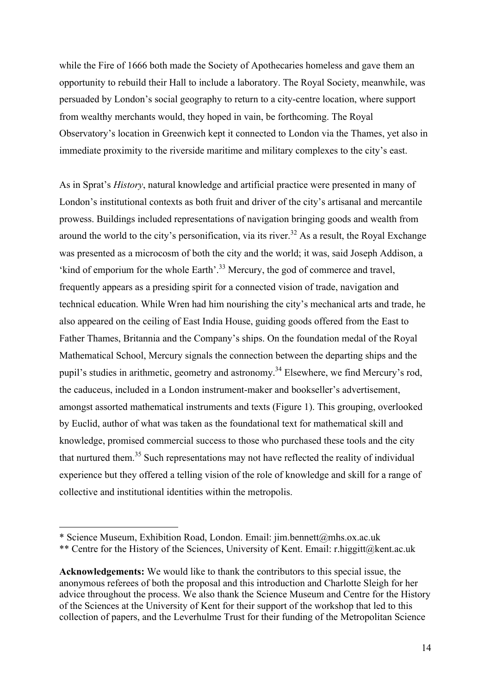while the Fire of 1666 both made the Society of Apothecaries homeless and gave them an opportunity to rebuild their Hall to include a laboratory. The Royal Society, meanwhile, was persuaded by London's social geography to return to a city-centre location, where support from wealthy merchants would, they hoped in vain, be forthcoming. The Royal Observatory's location in Greenwich kept it connected to London via the Thames, yet also in immediate proximity to the riverside maritime and military complexes to the city's east.

As in Sprat's *History*, natural knowledge and artificial practice were presented in many of London's institutional contexts as both fruit and driver of the city's artisanal and mercantile prowess. Buildings included representations of navigation bringing goods and wealth from around the world to the city's personification, via its river.<sup>32</sup> As a result, the Royal Exchange was presented as a microcosm of both the city and the world; it was, said Joseph Addison, a 'kind of emporium for the whole Earth'.<sup>33</sup> Mercury, the god of commerce and travel, frequently appears as a presiding spirit for a connected vision of trade, navigation and technical education. While Wren had him nourishing the city's mechanical arts and trade, he also appeared on the ceiling of East India House, guiding goods offered from the East to Father Thames, Britannia and the Company's ships. On the foundation medal of the Royal Mathematical School, Mercury signals the connection between the departing ships and the pupil's studies in arithmetic, geometry and astronomy.<sup>34</sup> Elsewhere, we find Mercury's rod, the caduceus, included in a London instrument-maker and bookseller's advertisement, amongst assorted mathematical instruments and texts (Figure 1). This grouping, overlooked by Euclid, author of what was taken as the foundational text for mathematical skill and knowledge, promised commercial success to those who purchased these tools and the city that nurtured them.<sup>35</sup> Such representations may not have reflected the reality of individual experience but they offered a telling vision of the role of knowledge and skill for a range of collective and institutional identities within the metropolis.

 $\overline{a}$ 

<sup>\*</sup> Science Museum, Exhibition Road, London. Email: jim.bennett@mhs.ox.ac.uk

<sup>\*\*</sup> Centre for the History of the Sciences, University of Kent. Email: r.higgitt@kent.ac.uk

**Acknowledgements:** We would like to thank the contributors to this special issue, the anonymous referees of both the proposal and this introduction and Charlotte Sleigh for her advice throughout the process. We also thank the Science Museum and Centre for the History of the Sciences at the University of Kent for their support of the workshop that led to this collection of papers, and the Leverhulme Trust for their funding of the Metropolitan Science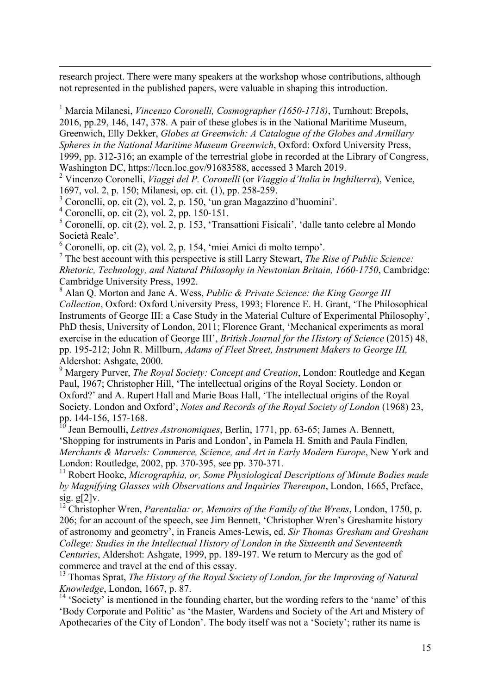research project. There were many speakers at the workshop whose contributions, although not represented in the published papers, were valuable in shaping this introduction.

<sup>1</sup> Marcia Milanesi, *Vincenzo Coronelli, Cosmographer (1650-1718)*, Turnhout: Brepols, 2016, pp.29, 146, 147, 378. A pair of these globes is in the National Maritime Museum, Greenwich, Elly Dekker, *Globes at Greenwich: A Catalogue of the Globes and Armillary Spheres in the National Maritime Museum Greenwich*, Oxford: Oxford University Press, 1999, pp. 312-316; an example of the terrestrial globe in recorded at the Library of Congress, Washington DC, https://lccn.loc.gov/91683588, accessed 3 March 2019.

2 Vincenzo Coronelli, *Viaggi del P. Coronelli* (or *Viaggio d'Italia in Inghilterra*), Venice, 1697, vol. 2, p. 150; Milanesi, op. cit. (1), pp. 258-259.

3 Coronelli, op. cit (2), vol. 2, p. 150, 'un gran Magazzino d'huomini'.

4 Coronelli, op. cit (2), vol. 2, pp. 150-151.

-

 $<sup>5</sup>$  Coronelli, op. cit (2), vol. 2, p. 153, 'Transattioni Fisicali', 'dalle tanto celebre al Mondo</sup> Società Reale'.

6 Coronelli, op. cit (2), vol. 2, p. 154, 'miei Amici di molto tempo'.

7 The best account with this perspective is still Larry Stewart, *The Rise of Public Science: Rhetoric, Technology, and Natural Philosophy in Newtonian Britain, 1660-1750*, Cambridge: Cambridge University Press, 1992.

8 Alan Q. Morton and Jane A. Wess, *Public & Private Science: the King George III Collection*, Oxford: Oxford University Press, 1993; Florence E. H. Grant, 'The Philosophical Instruments of George III: a Case Study in the Material Culture of Experimental Philosophy', PhD thesis, University of London, 2011; Florence Grant, 'Mechanical experiments as moral exercise in the education of George III', *British Journal for the History of Science* (2015) 48, pp. 195-212; John R. Millburn, *Adams of Fleet Street, Instrument Makers to George III,* Aldershot: Ashgate, 2000.

9 Margery Purver, *The Royal Society: Concept and Creation*, London: Routledge and Kegan Paul, 1967; Christopher Hill, 'The intellectual origins of the Royal Society. London or Oxford?' and A. Rupert Hall and Marie Boas Hall, 'The intellectual origins of the Royal Society. London and Oxford', *Notes and Records of the Royal Society of London* (1968) 23, pp. 144-156, 157-168.

<sup>10</sup> Jean Bernoulli, *Lettres Astronomiques*, Berlin, 1771, pp. 63-65; James A. Bennett, 'Shopping for instruments in Paris and London', in Pamela H. Smith and Paula Findlen, *Merchants & Marvels: Commerce, Science, and Art in Early Modern Europe*, New York and London: Routledge, 2002, pp. 370-395, see pp. 370-371.

<sup>11</sup> Robert Hooke, *Micrographia, or, Some Physiological Descriptions of Minute Bodies made by Magnifying Glasses with Observations and Inquiries Thereupon*, London, 1665, Preface, sig. g[2]v.

<sup>12</sup> Christopher Wren, *Parentalia: or, Memoirs of the Family of the Wrens*, London, 1750, p. 206; for an account of the speech, see Jim Bennett, 'Christopher Wren's Greshamite history of astronomy and geometry', in Francis Ames-Lewis, ed. *Sir Thomas Gresham and Gresham College: Studies in the Intellectual History of London in the Sixteenth and Seventeenth Centuries*, Aldershot: Ashgate, 1999, pp. 189-197. We return to Mercury as the god of commerce and travel at the end of this essay.

<sup>13</sup> Thomas Sprat, *The History of the Royal Society of London, for the Improving of Natural Knowledge*, London, 1667, p. 87.

 $14$  'Society' is mentioned in the founding charter, but the wording refers to the 'name' of this 'Body Corporate and Politic' as 'the Master, Wardens and Society of the Art and Mistery of Apothecaries of the City of London'. The body itself was not a 'Society'; rather its name is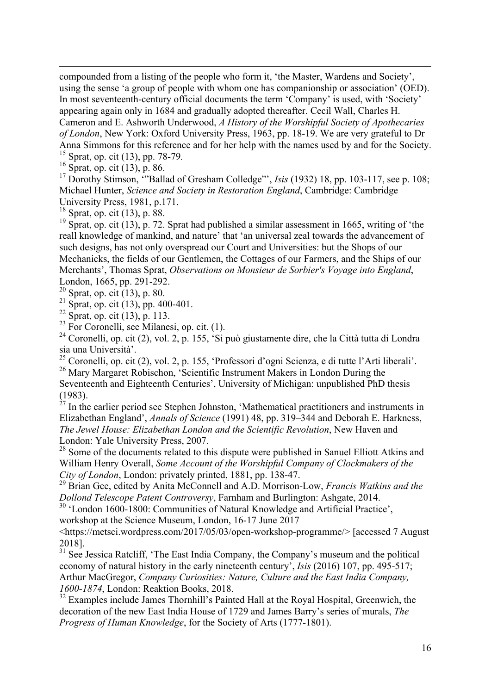compounded from a listing of the people who form it, 'the Master, Wardens and Society', using the sense 'a group of people with whom one has companionship or association' (OED). In most seventeenth-century official documents the term 'Company' is used, with 'Society' appearing again only in 1684 and gradually adopted thereafter. Cecil Wall, Charles H. Cameron and E. Ashworth Underwood, *A History of the Worshipful Society of Apothecaries of London*, New York: Oxford University Press, 1963, pp. 18-19. We are very grateful to Dr Anna Simmons for this reference and for her help with the names used by and for the Society. <sup>15</sup> Sprat, op. cit (13), pp. 78-79*.*

 $^{16}$  Sprat, op. cit (13), p. 86.

<sup>17</sup> Dorothy Stimson, <sup>23</sup> Ballad of Gresham Colledge"', *Isis* (1932) 18, pp. 103-117, see p. 108; Michael Hunter, *Science and Society in Restoration England*, Cambridge: Cambridge University Press, 1981, p.171.

 $18$  Sprat, op. cit (13), p. 88.

<sup>19</sup> Sprat, op. cit (13), p. 72. Sprat had published a similar assessment in 1665, writing of 'the reall knowledge of mankind, and nature' that 'an universal zeal towards the advancement of such designs, has not only overspread our Court and Universities: but the Shops of our Mechanicks, the fields of our Gentlemen, the Cottages of our Farmers, and the Ships of our Merchants', Thomas Sprat, *Observations on Monsieur de Sorbier's Voyage into England*, London, 1665, pp. 291-292.

 $20$  Sprat, op. cit (13), p. 80.

<sup>21</sup> Sprat, op. cit (13), pp. 400-401.

 $22$  Sprat, op. cit (13), p. 113.

 $^{23}$  For Coronelli, see Milanesi, op. cit. (1).

<sup>24</sup> Coronelli, op. cit (2), vol. 2, p. 155, 'Si può giustamente dire, che la Città tutta di Londra sia una Università'.

<sup>25</sup> Coronelli, op. cit (2), vol. 2, p. 155, 'Professori d'ogni Scienza, e di tutte l'Arti liberali'. <sup>26</sup> Mary Margaret Robischon, 'Scientific Instrument Makers in London During the

Seventeenth and Eighteenth Centuries', University of Michigan: unpublished PhD thesis (1983).

 $27$  In the earlier period see Stephen Johnston, 'Mathematical practitioners and instruments in Elizabethan England', *Annals of Science* (1991) 48, pp. 319–344 and Deborah E. Harkness, *The Jewel House: Elizabethan London and the Scientific Revolution*, New Haven and London: Yale University Press, 2007.

<sup>28</sup> Some of the documents related to this dispute were published in Sanuel Elliott Atkins and William Henry Overall, *Some Account of the Worshipful Company of Clockmakers of the City of London*, London: privately printed, 1881, pp. 138-47.

<sup>29</sup> Brian Gee, edited by Anita McConnell and A.D. Morrison-Low, *Francis Watkins and the Dollond Telescope Patent Controversy*, Farnham and Burlington: Ashgate, 2014.

<sup>30</sup> 'London 1600-1800: Communities of Natural Knowledge and Artificial Practice', workshop at the Science Museum, London, 16-17 June 2017

<https://metsci.wordpress.com/2017/05/03/open-workshop-programme/> [accessed 7 August 2018].

<sup>31</sup> See Jessica Ratcliff, 'The East India Company, the Company's museum and the political economy of natural history in the early nineteenth century', *Isis* (2016) 107, pp. 495-517; Arthur MacGregor, *Company Curiosities: Nature, Culture and the East India Company, 1600-1874*, London: Reaktion Books, 2018.

 $32$  Examples include James Thornhill's Painted Hall at the Royal Hospital, Greenwich, the decoration of the new East India House of 1729 and James Barry's series of murals, *The Progress of Human Knowledge*, for the Society of Arts (1777-1801).